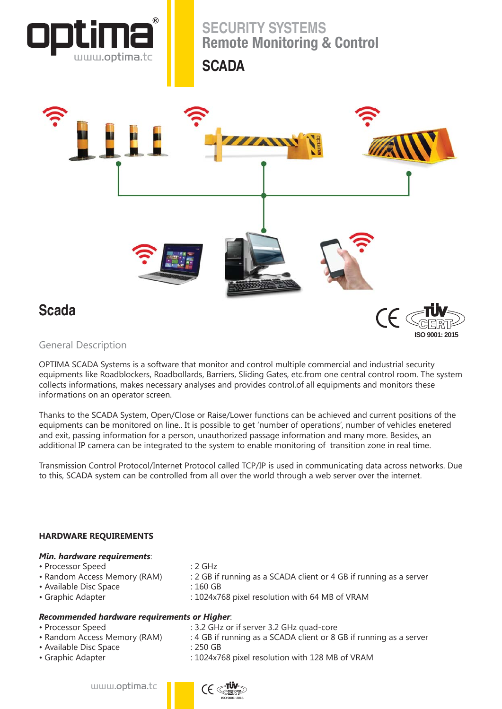

# **Scada**

# **ISO 9001: 2015**

## General Description

OPTIMA SCADA Systems is a software that monitor and control multiple commercial and industrial security equipments like Roadblockers, Roadbollards, Barriers, Sliding Gates, etc.from one central control room. The system collects informations, makes necessary analyses and provides control.of all equipments and monitors these informations on an operator screen.

Thanks to the SCADA System, Open/Close or Raise/Lower functions can be achieved and current positions of the equipments can be monitored on line.. It is possible to get 'number of operations', number of vehicles enetered and exit, passing information for a person, unauthorized passage information and many more. Besides, an additional IP camera can be integrated to the system to enable monitoring of transition zone in real time.

Transmission Control Protocol/Internet Protocol called TCP/IP is used in communicating data across networks. Due to this, SCADA system can be controlled from all over the world through a web server over the internet.

### **HARDWARE REQUIREMENTS**

| Min. hardware requirements:                         |                                                                    |
|-----------------------------------------------------|--------------------------------------------------------------------|
| • Processor Speed                                   | $: 2 \text{ GHz}$                                                  |
| • Random Access Memory (RAM)                        | : 2 GB if running as a SCADA client or 4 GB if running as a server |
| • Available Disc Space                              | $:160$ GB                                                          |
| • Graphic Adapter                                   | : 1024x768 pixel resolution with 64 MB of VRAM                     |
|                                                     |                                                                    |
| <b>Recommended hardware requirements or Higher.</b> |                                                                    |
| . Prococcor Coood                                   | $\cdot$ 2.2 CHz or if canyor 2.2 CHz quad care                     |

- Processor Speed : 3.2 GHz or if server 3.2 GHz quad-core
- Random Access Memory (RAM) : 4 GB if running as a SCADA client or 8 GB if running as a server
- Available Disc Space : 250 GB
- Graphic Adapter : 1024x768 pixel resolution with 128 MB of VRAM